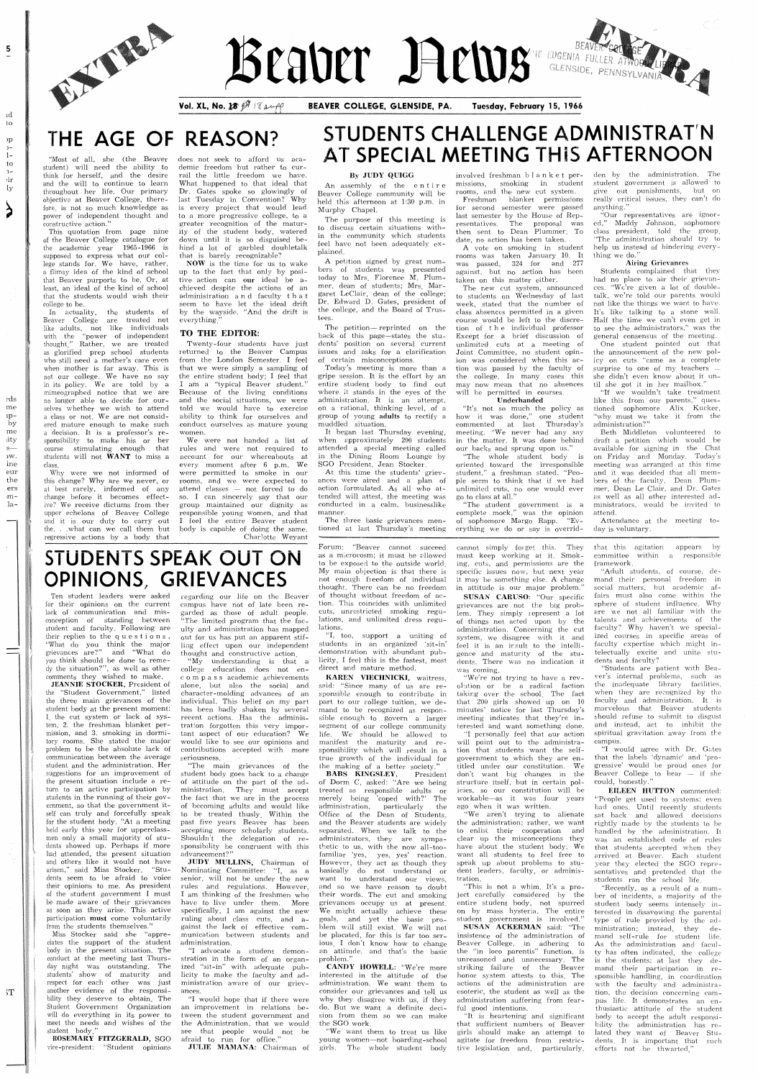

 $\overline{5}$ 

ıd to

 $_{\rm{p}}$  $\overset{\text{\tiny{}}}{\phantom{}}\,1-$ 

 $\mathsf{to}$  $2 \dot{\mathrm{a}}$ ly

 $\geqslant$ 

rds me ıpby me ity  $S \mathcal{W}.$ ine eur the .ers  $m-$ -la

# Beauer Rewerede, PENNESS AND STRANGE

Vol. XL, No. 18  $\mathscr{B}$  18 pmpp

BEAVER COLLEGE, GLENSIDE, PA.

Tuesday, February 15, 1966

## THE AGE OF REASON?

"Most of all, she (the Beaver student) will need the ability to think for herself, and the desire and the will to continue to learn throughout her life. Our primary objective at Beaver College, therefore, is not so much knowledge as power of independent thought and constructive action."

This quotation from page nine of the Beaver College catalogue for the academic year 1965-1966 supposed to express what our col lege stands for. We have, rather, a flimsy idea of the kind of school that Beaver purports to be. Or, at least, an ideal of the kind of school that the students would wish their college to he

In actuality, the students of Beaver College are treated not like adults, not like individuals with the "power of independent" thought," Rather, we are treat as glorified prep school students who still need a mother's care even when mother is far away. This is not our college. We have no say in its policy. We are told by a nimeopaphed notice that we are no longer able to decide for our selves whether we wish to attend a class or not. We are not considered mature enough to make such a decision. It is a professor's responsibility to make his or her course stimulating enough that students will not WANT to miss a class

Why were we not informed of this change? Why are we never, or at best rarely, informed of any change before it becomes effective? We receive dictums from ther upper echelons of Beaver College and it is our duty to carry out the. . . what can we call them but regressive actions by a body that

does not seek to afford us academic fieedom hut rather to currail the little freedom we have. What happened to that ideal that Dr. Gates spoke so glowingly of last Tuesday in Convention? Why is every project that would lead to a more progressive college, to a greater recognition of the maturity of the student body, watered down until it is so disguised hehind a lot of garbled doubletalk that is barely recognizable?

Ten student leaders were asked for their opinions on the current lack of communication and misconception of standing between student and faculty. Following are their replies to the questions,  $\displaystyle \begin{array}{lll} \text{``What do you think the major} \text{grievances are?''} & \text{and} & \text{``What do...} \end{array}$ you think should he done to reme dy the situation?", as well as other comments they wished to make

JEANNIE STOCKER, President of the "Student Government." listed the three main grievances of the student body at the present moment 1, the cut system or lack of system, 2. the freshman blanket permission, and 3. smoking in dormitory rooms. She stated the major problem to he the absolute lack of communication between the average student and the administration. Her suggestions for an improvement of the present situation include a return to an active participation by students in the running of their gov ernment, so that the government itself can truly and forcefully speak for the student body. "At a meeting held early this year for upperclassmen only a small majority of students showed up. Perhaps if more had attended, the present situation and others like it would not have arisen," said Miss Stocker. "Students seem to be afraid to voice their opinions to me. As president of the student government I must be made aware of their grievances as soon as they arise. This active participation **must** come voluntarily from the students themselves." Miss Stocker said she "appreciates the support of the student body in the present situation. The onduct at the meeting last Thurs day night was outstanding. The students' show of maturity and respect for each other was just another evidence of the responsi bility they deserve to obtain. The Student Government Organization will do everything in its power to meet the needs and wishes of the student body

regarding our life on the Beaver campus have not of late been re garded as those of adult people The limited program that the fac ulty and administration has mapped out for us has put an apparent stifling effect upon our independent thought and constructive action.

NOW is the time for us to wake up to the fact that only by posi tive action can our ideal be aehieved despite the actions of an administration  $a \, n \, d$  faculty  $t \, h \, a \, t$ seem to have let the ideal drift by the wayside. "And the drift is everything."

"My understanding is that a college education does not enc o m p a s s academic achievements alone, but also the social and character-molding advances of an individual. This belief on my part has been badly shaken by several recent actions. Has the administration forgotten this very important aspect of our education? We would like to see our opinions and contributions accepted with more seriousness

"The main grievances of the student body goes back to a change of attitude on the part of the ad ministration They must accept the fact that we are in the process of becoming adults and would like to be treated thusly Within the past five years Beaver has been accepting more scholarly students Shouldn't the delegation of responsihihity he congruent with this advancement?" JUDY MULLINS, Chairman of Nominating Committee: "I, as a senior, will not be under the new rules and regulations. However, I am thinking of the freshmen who have to live under them. More specifically, I am against the new ruling about class cuts, and against the lack of effective com munication between students and administration. "I advocate a student demonstration in the form of an organized "sit-in" with adequate publicity to make the faculty and administration aware of our grievances

Forum: "Beaver cannot succeed as a microcosm; it must be allowed to be exposel to the outside world My main objection is that there is not enough freedom of individual thought. There can be no freedom of thought without freedom of ac tion. This coincides with unlimited cuts, unrestricted smoking regulations, and unlimited dress regulations.

"I would hope that if there were an improvement in relations be tween the student government and the Administration, that we would see that people would not be afraid to run for office

JULIE MAMANA: Chairman of

CANDY HOWELL: "We're more interested in the attitude of the administration. We want them to consider our grievances and tell us why they disagree with us, if they do. But we want a definite decision from them so we can make the SGO work.

"We want them to treat us like young women-not boarding-school girls. The whole student body

A petition signed by great numhers of students was presented today to Mrs. Florence M. Plummer, dean of students; Mrs. Margaret LeClair, dean of the college; Dr. Edward D. Gates, president of the college, and the Board of Trustees

The petition-reprinted on the back of this page-states the students' position on several current issues and asks for a clarification of certain misconceptions.

Today's meeting is more than a gripe session. It is the effort by an entire student body to find out where it stands in the eyes of the administration. It is an attempt, on a rational, thinking level, of a group of young adults to rectify muddled situation

It began last Thursday evening. when cpproximately <sup>200</sup> students attended a special meeting called in the Dining Room Lounge by SGO President, Jean Stocker.

At this time the students' grievances were aired and a plan of action formulated. As all who attended will attest, the meeting was conducted in a calm, businesslike manner.

The three basic grievances men tioned at last Thursday's meeting

involved freshman  $b \, l \, a \, n \, k \, e \, t \, p$ ermissions, smoking in student rooms, and the new cut system.

Freshman blanket permissions for second semester were passed last semester by the House of Representatives. The proposal was then sent to Dean Plummer. To date, no action has been taken.

A vote on smoking in student ooms was taken January 10. It was passed, 324 for and 27 against, but no action has been taken on this matter either.

The new cut system, announced to students on Wednesday of last week, stated that the number of class absences permitted in a given course would be left to the discre tion of the individual professor Except for a brief discussion of unlimited cuts at a meeting of Joint Committee, no student opinion was considered when this action was passed by the faculty of the college. In many cases this may now mean that no absences will be permitted in courses.

#### TO THE EDITOR

"I, too, support a uniting of students in an organized 'sit-in' demonstration with abundant publicity, I feel this is the fastest, most direct and mature method

KAREN VIECHNICKI, waitress, said: "Since many of us are responsible enough to contribute in part to our college tuition, we demand to he recognized as respon sible enough to govern a larger segment of our college community life. We should be allowed to manifest the maturity and responsibility which will result in a true growth of the individual for the making of a better society.'

Twenty-four students have just eturned to the Beaver Campus from the London Semester. I feel that we were simply a sampling of the entire student body; I feel that I am a "typical Beaver student." Because of the living conditions and the social situations, we were told we would have to exercise ability to think for ourselves and conduct ourselves aS mature young women

We were not handed a list of rules and were not required to account for our whereabouts at every moment after 6 p.m. We were permitted to smoke in our rooms, and we were expected to attend classes - not forced to do so. I can sincerely say that our group maintained our dignity as responsible young women, and that I feel the entire Beaver student body is capable of doing the same Charlotte Weyant

### STUDENTS CHALLENGE ADMINISTRAT'N AT SPECIAL MEETING THIS AFTERNOON

BABS KINGSLEY, President of Dorm C, asked: "Are we being treated as responsible adults or merely being coped with?' The<br>administration, particularly the particularly the Office of the Dean of Students, and the Beaver students are widely separated. When we talk to the administrators, they are sympathetic to us, with the now all-toofamiliar 'yes, yes, yes' reaction. However, they act as though they basically do not understand or want to understand our views, and so we have reason to doubt their words. The cut and smoking grievances occupy us at present We might actually achieve these goals, and yet the basic pro-<br>blem will still exist. We will not be placated, for this is far too serious. I don't know how to change an attitude, and that's the basic problem

cannot simply forget this. They must keep working at it. Smoking, cuts, and permissions are the specific issues now, but next year it may be something else. A change in attitude is our major problem." SUSAN CARUSO: "Our specific grievances are not the big problem. They simply represent a lot of things not acted upon by the administration. Concerning the cut system, we disagree with it and feel it is an insult to the intelligence and maturity of the students. There was no indication it was coming

"We're not trying to have a revolution or be a radical faction taking over the school. The fact that <sup>200</sup> girls showed up on <sup>10</sup> minutes' notice for last Thursday's meeting indicates that they're interested and want something done. "I personally feel that our action will point out to the administra-

tion that students want the selfgovernment to which they are entitled under our constitution. We don't want big changes in the structure itself, but in certain policies, so our constitution will be that this agitation appears by committee within a responsible framework.

"Adult students, of course, demand their personal freedom in social matters, but academic affairs must also come within the sphere of student influence. Why are we not all familiar with the talents and achievements of the faculty? Why haven't we specialized courses in specific areas of faculty expertise which might intelectually excite and unite students and faculty?

"Students are patient with Beaver's internal problems, such as the inadequate library facilities, when they are recognized by the faculty and administration. It is marvelous that Beaver students should refuse to submit to disgust and instead, act to inhibit the spiritual gravitation away from the campus.

" $I$ " would agree with Dr. Gates that the labels 'dynamic' and 'progressive' would be proud ones for Beaver College to  $\bar{b}ear$  — if she could, honestly."

EILEEN HUTTON commented:

ROSEMARY FITZGERALD, SGO vice-president: "Student opinions

wom kable as it was four yeams ago when it was written.

'We aren't trying to alienate the administration; rather, we want to enlist their cooperation and clear up the misconceptions they have about the student body. We want all students to feel free to speak up about problems to stu dent leaders, faculty, or administration.

"This is not a whim. It's a project carefully considered by the entire student body, not spurred on by mass hysteria. The entire student government is involved SUSAN ACKERMAN said: "The insistence of the administration of Beaver College, in adhering to<br>the "in loco parentis" function, is unreasoned and unnecessary. The striking failure of the Beaver honor system attests to this. The actions of the administration are esoteric, the student as well as the administration suffering from fearful good intentions.

 $\mathrm{I}$ t is heartening and significant that sufficient numbers of Beaver girls should make an attempt to agitate for freedom from restrictive legislation and, particularly,

"People get used to systems; even bad ones. Until recently students sat hack and allowed decisions rightly made by the students to be handled by the administration. It was an established code of rules that students accepted when they arrived at Beaver. Each student year they elected the SGO representatives and pretended that the students ran the school life.

"Recently, as a result of a number of incidents, a majority of the student body seems intensely interested in disavowing the parental type of rule provided by the administration; instead, they demand self-rule for student life. As the administration and faculty has often indicated, the college is the students; at last they demand their participation in responsible handling, in coordination with the faculty and administration, the decision concerning campus life. It demonstrates an enthusiastic attitude of the student body to accept the adult responsibility the administration has related they want of Beaver Students. It is important that such efforts not be thwarted.'

#### By JUDY QIJIGG

An assembly of the entire Beaver College community will be held this afternoon at 1:30 p.m. in Murphy Chapel.

The purpose of this meeting is to discuss certain situations with in the community which students feel have not been adequately explained.

#### Underhanded

It's not so much the policy as how it was done," one student commented at last Thursday's meeting. "We never had any say in the matter. It was done behind our backs and sprung upon us."

The whole student body is oriented toward the irresponsible student," a freshman stated. "People seem to think that if we had unlimited cuts, no one would ever go to class at all

"The student government is complete mock," was the opinic of sophomore Margo Rapp. "Everything we do or say is overridden by the administration. The student government is allowed to give out punishments, but on give out punishments, but or<br>really critical issues, they can't do<br>anything."

"Our representatives are ignored," Maddy Johnson, sophomore class president, told the group. The administration should try to help us instead of hindering everything we do."

#### Airing Grievances

Students complained that they had no place to air their grievances. "We're given a lot of doubletalk, we're told our parents would not like the things we want to have. It's like talking to a stone wall. Half the time we can't even get in to see the administrators," was the general consensus of the meeting.

One student pointed out that the announcement of the new policy on cuts "came as a complete surprise to one of  $my$  teachers  $$ she didn't even know about it until she got it in her mailbox."

"If we wouldn't take treatment like this from our parents," questioned sophomore Alix Kucker, 'why must we take it from th administration

Beth Middleton volunteered to draft a petition which would be available for signing in the Chat on Friday and Monday. Today's meeting was arranged at this time and it was decided that all members of the faculty, Dean Plummer, Dean Le Clair, and Dr. Gates as well as all other interested ad ministrators, would be invited to attend.

Attendance at the meeting today is voluntary.

## **STUDENTS SPEAK OUT ON** OPINIONS, GRIEVANCES